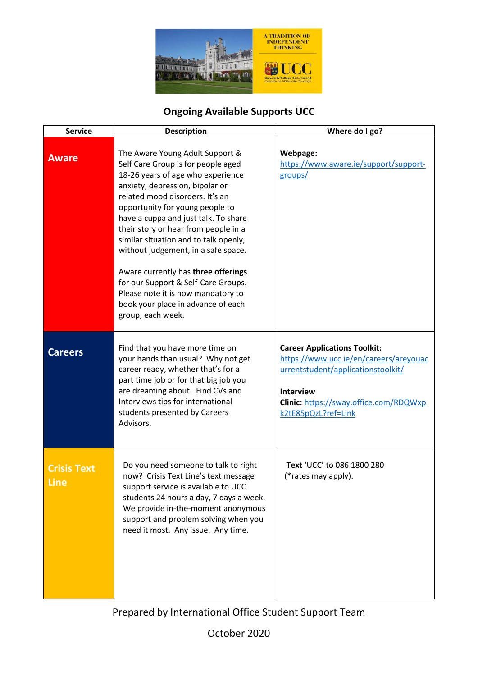

## **Ongoing Available Supports UCC**

| <b>Service</b>             | <b>Description</b>                                                                                                                                                                                                                                                                                                                                                                                                                                                                                                                                                 | Where do I go?                                                                                                                                                                                                  |
|----------------------------|--------------------------------------------------------------------------------------------------------------------------------------------------------------------------------------------------------------------------------------------------------------------------------------------------------------------------------------------------------------------------------------------------------------------------------------------------------------------------------------------------------------------------------------------------------------------|-----------------------------------------------------------------------------------------------------------------------------------------------------------------------------------------------------------------|
| <b>Aware</b>               | The Aware Young Adult Support &<br>Self Care Group is for people aged<br>18-26 years of age who experience<br>anxiety, depression, bipolar or<br>related mood disorders. It's an<br>opportunity for young people to<br>have a cuppa and just talk. To share<br>their story or hear from people in a<br>similar situation and to talk openly,<br>without judgement, in a safe space.<br>Aware currently has three offerings<br>for our Support & Self-Care Groups.<br>Please note it is now mandatory to<br>book your place in advance of each<br>group, each week. | Webpage:<br>https://www.aware.ie/support/support-<br>groups/                                                                                                                                                    |
| <b>Careers</b>             | Find that you have more time on<br>your hands than usual? Why not get<br>career ready, whether that's for a<br>part time job or for that big job you<br>are dreaming about. Find CVs and<br>Interviews tips for international<br>students presented by Careers<br>Advisors.                                                                                                                                                                                                                                                                                        | <b>Career Applications Toolkit:</b><br>https://www.ucc.ie/en/careers/areyouac<br>urrentstudent/applicationstoolkit/<br><b>Interview</b><br><b>Clinic:</b> https://sway.office.com/RDQWxp<br>k2tE85pQzL?ref=Link |
| <b>Crisis Text</b><br>Line | Do you need someone to talk to right<br>now? Crisis Text Line's text message<br>support service is available to UCC<br>students 24 hours a day, 7 days a week.<br>We provide in-the-moment anonymous<br>support and problem solving when you<br>need it most. Any issue. Any time.                                                                                                                                                                                                                                                                                 | Text 'UCC' to 086 1800 280<br>(*rates may apply).                                                                                                                                                               |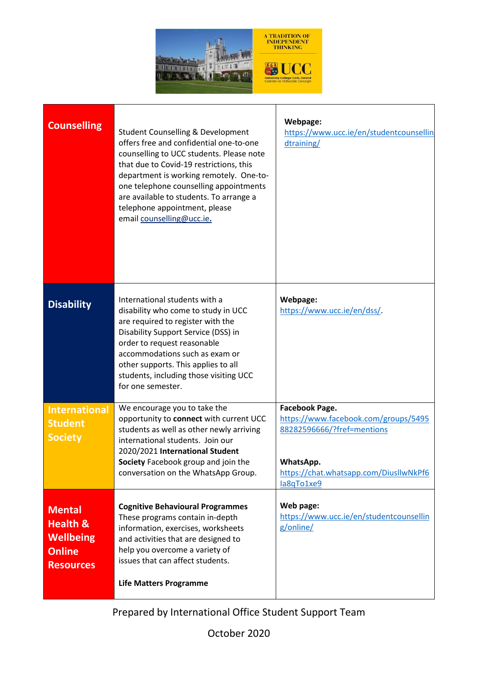

| <b>Counselling</b>                                                                            | <b>Student Counselling &amp; Development</b><br>offers free and confidential one-to-one<br>counselling to UCC students. Please note<br>that due to Covid-19 restrictions, this<br>department is working remotely. One-to-<br>one telephone counselling appointments<br>are available to students. To arrange a<br>telephone appointment, please<br>email counselling@ucc.ie. | Webpage:<br>https://www.ucc.ie/en/studentcounsellin<br>dtraining/                                                                                         |
|-----------------------------------------------------------------------------------------------|------------------------------------------------------------------------------------------------------------------------------------------------------------------------------------------------------------------------------------------------------------------------------------------------------------------------------------------------------------------------------|-----------------------------------------------------------------------------------------------------------------------------------------------------------|
| <b>Disability</b>                                                                             | International students with a<br>disability who come to study in UCC<br>are required to register with the<br>Disability Support Service (DSS) in<br>order to request reasonable<br>accommodations such as exam or<br>other supports. This applies to all<br>students, including those visiting UCC<br>for one semester.                                                      | Webpage:<br>https://www.ucc.ie/en/dss/.                                                                                                                   |
| <b>International</b><br><b>Student</b><br><b>Society</b>                                      | We encourage you to take the<br>opportunity to connect with current UCC<br>students as well as other newly arriving<br>international students. Join our<br>2020/2021 International Student<br>Society Facebook group and join the<br>conversation on the WhatsApp Group.                                                                                                     | Facebook Page.<br>https://www.facebook.com/groups/5495<br>88282596666/?fref=mentions<br>WhatsApp.<br>https://chat.whatsapp.com/DiusllwNkPf6<br>la8qTo1xe9 |
| <b>Mental</b><br><b>Health &amp;</b><br><b>Wellbeing</b><br><b>Online</b><br><b>Resources</b> | <b>Cognitive Behavioural Programmes</b><br>These programs contain in-depth<br>information, exercises, worksheets<br>and activities that are designed to<br>help you overcome a variety of<br>issues that can affect students.<br><b>Life Matters Programme</b>                                                                                                               | Web page:<br>https://www.ucc.ie/en/studentcounsellin<br>g/online/                                                                                         |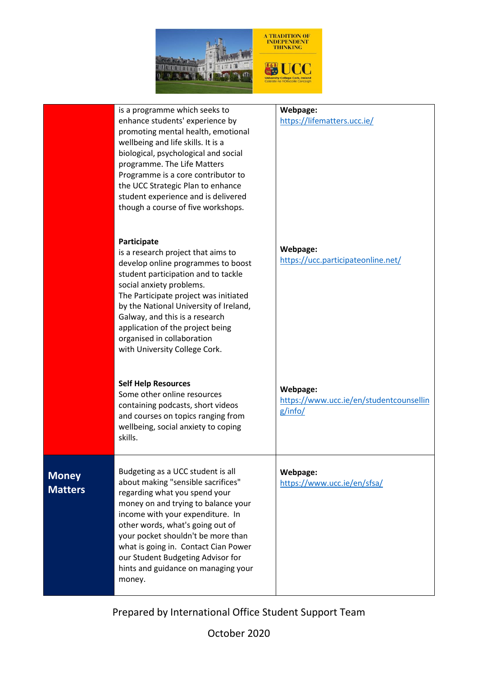

|                                | is a programme which seeks to<br>enhance students' experience by<br>promoting mental health, emotional<br>wellbeing and life skills. It is a<br>biological, psychological and social<br>programme. The Life Matters<br>Programme is a core contributor to<br>the UCC Strategic Plan to enhance<br>student experience and is delivered<br>though a course of five workshops.                 | Webpage:<br>https://lifematters.ucc.ie/                        |
|--------------------------------|---------------------------------------------------------------------------------------------------------------------------------------------------------------------------------------------------------------------------------------------------------------------------------------------------------------------------------------------------------------------------------------------|----------------------------------------------------------------|
|                                | Participate<br>is a research project that aims to<br>develop online programmes to boost<br>student participation and to tackle<br>social anxiety problems.<br>The Participate project was initiated<br>by the National University of Ireland,<br>Galway, and this is a research<br>application of the project being<br>organised in collaboration<br>with University College Cork.          | Webpage:<br>https://ucc.participateonline.net/                 |
|                                | <b>Self Help Resources</b><br>Some other online resources<br>containing podcasts, short videos<br>and courses on topics ranging from<br>wellbeing, social anxiety to coping<br>skills.                                                                                                                                                                                                      | Webpage:<br>https://www.ucc.ie/en/studentcounsellin<br>g/info/ |
| <b>Money</b><br><b>Matters</b> | Budgeting as a UCC student is all<br>about making "sensible sacrifices"<br>regarding what you spend your<br>money on and trying to balance your<br>income with your expenditure. In<br>other words, what's going out of<br>your pocket shouldn't be more than<br>what is going in. Contact Cian Power<br>our Student Budgeting Advisor for<br>hints and guidance on managing your<br>money. | Webpage:<br>https://www.ucc.ie/en/sfsa/                        |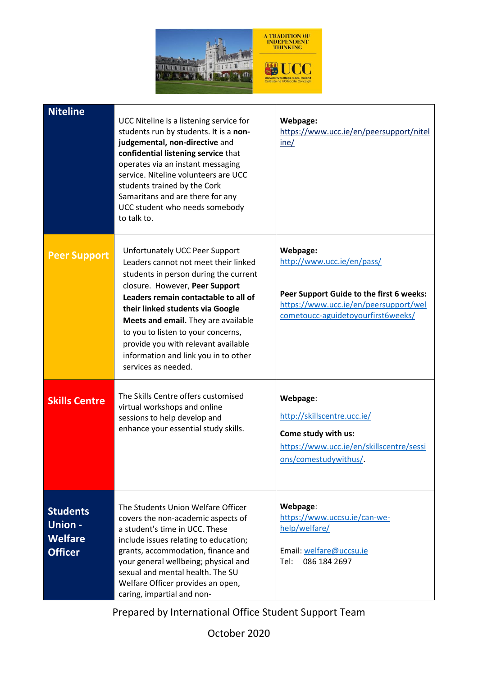

| <b>Niteline</b>                                                      | UCC Niteline is a listening service for<br>students run by students. It is a non-<br>judgemental, non-directive and<br>confidential listening service that<br>operates via an instant messaging<br>service. Niteline volunteers are UCC<br>students trained by the Cork<br>Samaritans and are there for any<br>UCC student who needs somebody<br>to talk to.                                                     | Webpage:<br>https://www.ucc.ie/en/peersupport/nitel<br>ine/                                                                                                       |
|----------------------------------------------------------------------|------------------------------------------------------------------------------------------------------------------------------------------------------------------------------------------------------------------------------------------------------------------------------------------------------------------------------------------------------------------------------------------------------------------|-------------------------------------------------------------------------------------------------------------------------------------------------------------------|
| <b>Peer Support</b>                                                  | Unfortunately UCC Peer Support<br>Leaders cannot not meet their linked<br>students in person during the current<br>closure. However, Peer Support<br>Leaders remain contactable to all of<br>their linked students via Google<br>Meets and email. They are available<br>to you to listen to your concerns,<br>provide you with relevant available<br>information and link you in to other<br>services as needed. | Webpage:<br>http://www.ucc.ie/en/pass/<br>Peer Support Guide to the first 6 weeks:<br>https://www.ucc.ie/en/peersupport/wel<br>cometoucc-aguidetoyourfirst6weeks/ |
| <b>Skills Centre</b>                                                 | The Skills Centre offers customised<br>virtual workshops and online<br>sessions to help develop and<br>enhance your essential study skills.                                                                                                                                                                                                                                                                      | Webpage:<br>http://skillscentre.ucc.ie/<br>Come study with us:<br>https://www.ucc.ie/en/skillscentre/sessi<br>ons/comestudywithus/                                |
| <b>Students</b><br><b>Union-</b><br><b>Welfare</b><br><b>Officer</b> | The Students Union Welfare Officer<br>covers the non-academic aspects of<br>a student's time in UCC. These<br>include issues relating to education;<br>grants, accommodation, finance and<br>your general wellbeing; physical and<br>sexual and mental health. The SU<br>Welfare Officer provides an open,<br>caring, impartial and non-                                                                         | Webpage:<br>https://www.uccsu.ie/can-we-<br>help/welfare/<br>Email: welfare@uccsu.ie<br>086 184 2697<br>Tel:                                                      |